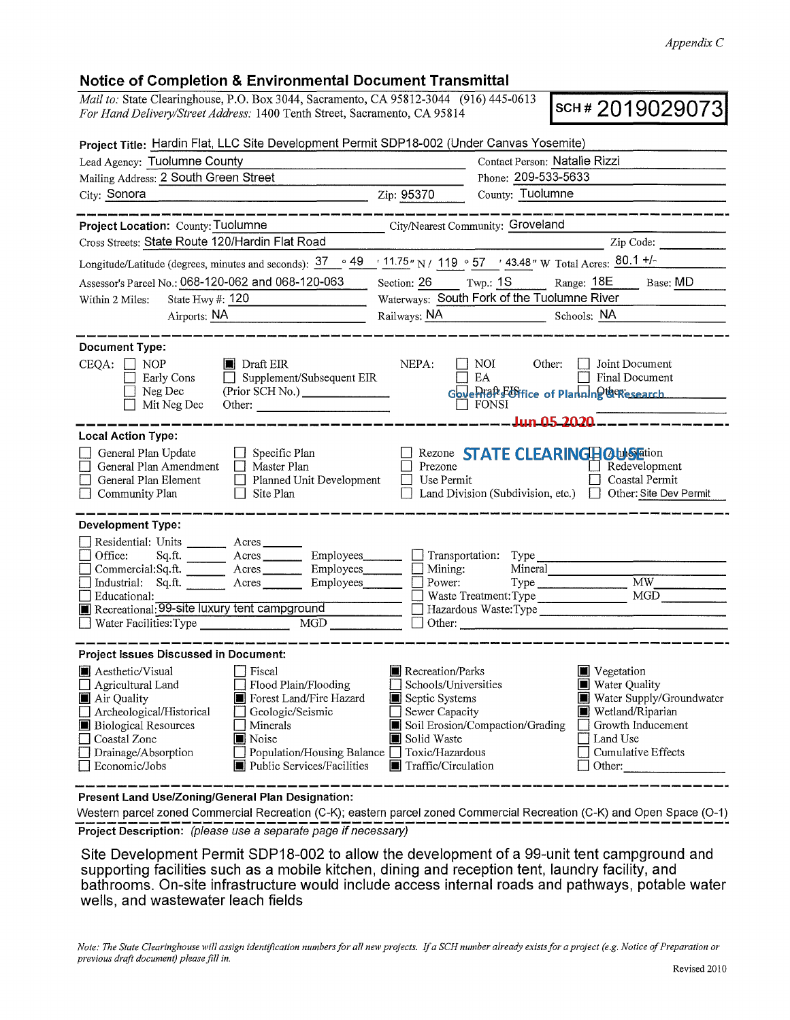## Notice of Completion & Environmental Document Transmittal

*Mail to: State Clearinghouse, P.O. Box 3044, Sacramento, CA 95812-3044* (916) 445-0613 **SCH # 2019029073 For Hand Delivery/Street Address: 1400 Tenth Street, Sacramento, CA 95814** *For Hand Delive1y/Street Address:* 1400 Tenth Street, Sacramento, CA 95814

| Project Title: Hardin Flat, LLC Site Development Permit SDP18-002 (Under Canvas Yosemite)                                                                                                                                                                                                                                                                                                      |                                                                                                                      |                                                                                                     |                                                                                                                                                             |  |
|------------------------------------------------------------------------------------------------------------------------------------------------------------------------------------------------------------------------------------------------------------------------------------------------------------------------------------------------------------------------------------------------|----------------------------------------------------------------------------------------------------------------------|-----------------------------------------------------------------------------------------------------|-------------------------------------------------------------------------------------------------------------------------------------------------------------|--|
| Lead Agency: Tuolumne County                                                                                                                                                                                                                                                                                                                                                                   | Contact Person: Natalie Rizzi                                                                                        |                                                                                                     |                                                                                                                                                             |  |
| Mailing Address: 2 South Green Street                                                                                                                                                                                                                                                                                                                                                          |                                                                                                                      | Phone: 209-533-5633                                                                                 |                                                                                                                                                             |  |
| <u>2ip: 95370</u><br>City: Sonora                                                                                                                                                                                                                                                                                                                                                              |                                                                                                                      | County: Tuolumne                                                                                    |                                                                                                                                                             |  |
|                                                                                                                                                                                                                                                                                                                                                                                                |                                                                                                                      |                                                                                                     |                                                                                                                                                             |  |
| Project Location: County: Tuolumne<br>Cross Streets: State Route 120/Hardin Flat Road                                                                                                                                                                                                                                                                                                          |                                                                                                                      | City/Nearest Community: Groveland                                                                   | Zip Code:                                                                                                                                                   |  |
|                                                                                                                                                                                                                                                                                                                                                                                                |                                                                                                                      |                                                                                                     |                                                                                                                                                             |  |
| Longitude/Latitude (degrees, minutes and seconds): $37 \degree 49 \degree 11.75$ " N / 119 $\degree 57$ / 43.48 " W Total Acres: $80.1 +1$ -                                                                                                                                                                                                                                                   |                                                                                                                      |                                                                                                     |                                                                                                                                                             |  |
| Assessor's Parcel No.: 068-120-062 and 068-120-063                                                                                                                                                                                                                                                                                                                                             | Section: 26 Twp.: 1S                                                                                                 |                                                                                                     | Range: 18E Base: MD                                                                                                                                         |  |
| State Hwy #: $120$<br>Within 2 Miles:                                                                                                                                                                                                                                                                                                                                                          |                                                                                                                      | Waterways: South Fork of the Tuolumne River                                                         |                                                                                                                                                             |  |
| Airports: NA                                                                                                                                                                                                                                                                                                                                                                                   |                                                                                                                      | Railways: NA Schools: NA                                                                            |                                                                                                                                                             |  |
| <b>Document Type:</b><br>$CEQA: \Box$<br><b>NOP</b><br>$\blacksquare$ Draft EIR<br>$\Box$ Supplement/Subsequent EIR<br>Early Cons<br>Neg Dec<br>(Prior SCH No.) _______________<br>Mit Neg Dec                                                                                                                                                                                                 | NEPA:                                                                                                                | Other:<br>NOI<br>EA<br>Goverlian Editice of Planning & Chesearch<br>$\Box$ FONSI<br>Jun 05 2020 --- | Joint Document<br>Final Document                                                                                                                            |  |
| <b>Local Action Type:</b>                                                                                                                                                                                                                                                                                                                                                                      |                                                                                                                      |                                                                                                     |                                                                                                                                                             |  |
| General Plan Update<br>$\Box$ Specific Plan<br>General Plan Amendment<br>$\Box$ Master Plan<br>General Plan Element<br>$\Box$ Planned Unit Development<br>Community Plan<br>$\Box$ Site Plan                                                                                                                                                                                                   | Prezone<br>Use Permit                                                                                                | Rezone STATE CLEARINGHOUS ation<br>Land Division (Subdivision, etc.) □ Other: Site Dev Permit       | $\Box$ Redevelopment<br>Coastal Permit                                                                                                                      |  |
| <b>Development Type:</b>                                                                                                                                                                                                                                                                                                                                                                       |                                                                                                                      |                                                                                                     |                                                                                                                                                             |  |
| Residential: Units _________ Acres<br>Employees_________<br>Office:                                                                                                                                                                                                                                                                                                                            |                                                                                                                      | Transportation: Type                                                                                |                                                                                                                                                             |  |
| Employees________<br>$Commercial:Sq.fit.$ $\overline{\qquad \qquad }$ Acres                                                                                                                                                                                                                                                                                                                    | $\Box$ Mining:                                                                                                       | Mineral                                                                                             |                                                                                                                                                             |  |
| Industrial: Sq.ft. Acres Employees                                                                                                                                                                                                                                                                                                                                                             | Power:                                                                                                               |                                                                                                     | $\overline{\text{MW}}$                                                                                                                                      |  |
| Educational:                                                                                                                                                                                                                                                                                                                                                                                   |                                                                                                                      | Waste Treatment: Type                                                                               | MGD                                                                                                                                                         |  |
| Recreational: 99-site luxury tent campground<br>MGD NG<br>Water Facilities: Type                                                                                                                                                                                                                                                                                                               | $\Box$ Other:                                                                                                        | Hazardous Waste: Type                                                                               |                                                                                                                                                             |  |
|                                                                                                                                                                                                                                                                                                                                                                                                |                                                                                                                      |                                                                                                     |                                                                                                                                                             |  |
| Project Issues Discussed in Document:                                                                                                                                                                                                                                                                                                                                                          |                                                                                                                      |                                                                                                     |                                                                                                                                                             |  |
| Aesthetic/Visual<br>Fiscal<br>$\Box$ Flood Plain/Flooding<br>$\Box$ Agricultural Land<br>Forest Land/Fire Hazard<br>Air Quality<br>Archeological/Historical<br>$\Box$ Geologic/Seismic<br><b>Biological Resources</b><br>$\Box$ Minerals<br>Coastal Zone<br>Noise<br>Drainage/Absorption<br>Population/Housing Balance □ Toxic/Hazardous<br>Public Services/Facilities<br>$\Box$ Economic/Jobs | ■ Recreation/Parks<br>Schools/Universities<br>Septic Systems<br>Sewer Capacity<br>Solid Waste<br>Traffic/Circulation | Soil Erosion/Compaction/Grading                                                                     | $\blacksquare$ Vegetation<br>Water Quality<br>Water Supply/Groundwater<br>Wetland/Riparian<br>Growth Inducement<br>Land Use<br>Cumulative Effects<br>Other: |  |

**Present Land Use/Zoning/General Plan Designation:** 

Western parcel zoned Commercial Recreation (C-K); eastern parcel zoned Commercial Recreation (C-K) and Open Space (O-1)<br> **Project Description:** (please use a separate page if necessary)

Site Development Permit SDP18-002 to allow the development of a 99-unit tent campground and supporting facilities such as a mobile kitchen, dining and reception tent, laundry facility, and bathrooms. On-site infrastructure would include access internal roads and pathways, potable water wells, and wastewater leach fields

*Note: The State Clearinghouse will assign identification numbers for all new projects. If a SCH number already exists for a project (e.g. Notice of Preparation or previous draft document) please fill in.*